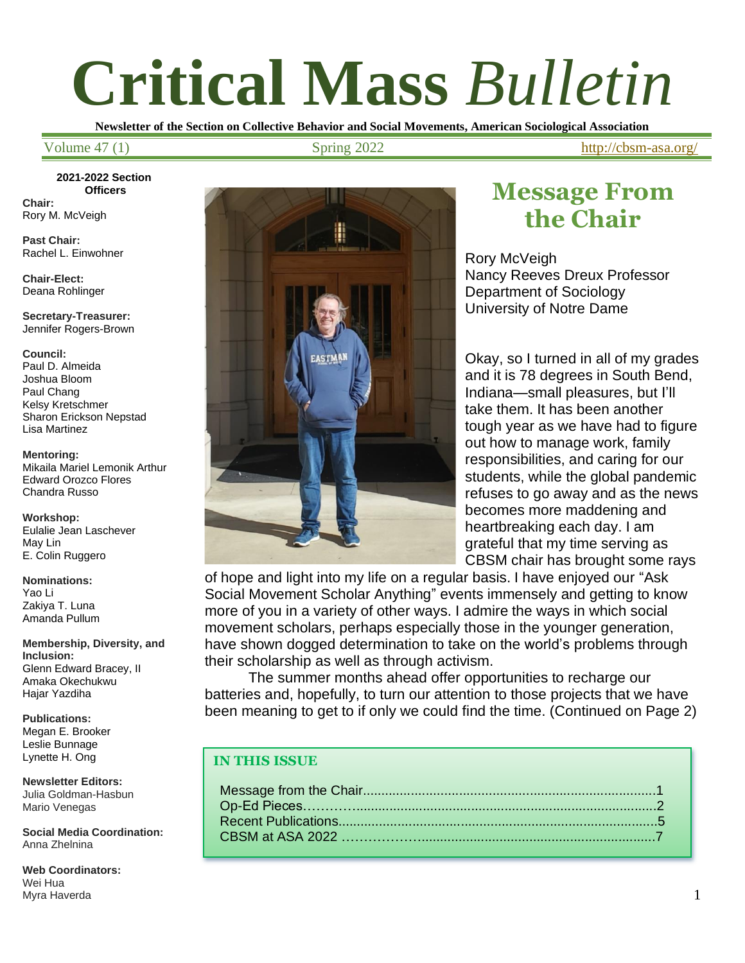# **Critical Mass** *Bulletin*

**Newsletter of the Section on Collective Behavior and Social Movements, American Sociological Association**

Volume 47 (1) Spring 2022 <http://cbsm-asa.org/>

**2021-2022 Section Officers Chair:**

Rory M. McVeigh

**Past Chair:** Rachel L. Einwohner

**Chair-Elect:** Deana Rohlinger

**Secretary-Treasurer:** Jennifer Rogers-Brown

**Council:** Paul D. Almeida Joshua Bloom Paul Chang Kelsy Kretschmer Sharon Erickson Nepstad Lisa Martinez

**Mentoring:** Mikaila Mariel Lemonik Arthur Edward Orozco Flores Chandra Russo

**Workshop:** Eulalie Jean Laschever May Lin E. Colin Ruggero

**Nominations:** Yao Li Zakiya T. Luna Amanda Pullum

**Membership, Diversity, and Inclusion:** Glenn Edward Bracey, II Amaka Okechukwu Hajar Yazdiha

**Publications:** Megan E. Brooker Leslie Bunnage Lynette H. Ong

**Newsletter Editors:** Julia Goldman-Hasbun Mario Venegas

**Social Media Coordination:** Anna Zhelnina

**Web Coordinators:** Wei Hua Myra Haverda



## **Message From the Chair**

Rory McVeigh Nancy Reeves Dreux Professor Department of Sociology University of Notre Dame

Okay, so I turned in all of my grades and it is 78 degrees in South Bend, Indiana—small pleasures, but I'll take them. It has been another tough year as we have had to figure out how to manage work, family responsibilities, and caring for our students, while the global pandemic refuses to go away and as the news becomes more maddening and heartbreaking each day. I am grateful that my time serving as CBSM chair has brought some rays

of hope and light into my life on a regular basis. I have enjoyed our "Ask Social Movement Scholar Anything" events immensely and getting to know more of you in a variety of other ways. I admire the ways in which social movement scholars, perhaps especially those in the younger generation, have shown dogged determination to take on the world's problems through their scholarship as well as through activism.

The summer months ahead offer opportunities to recharge our batteries and, hopefully, to turn our attention to those projects that we have been meaning to get to if only we could find the time. (Continued on Page 2)

#### **IN THIS ISSUE**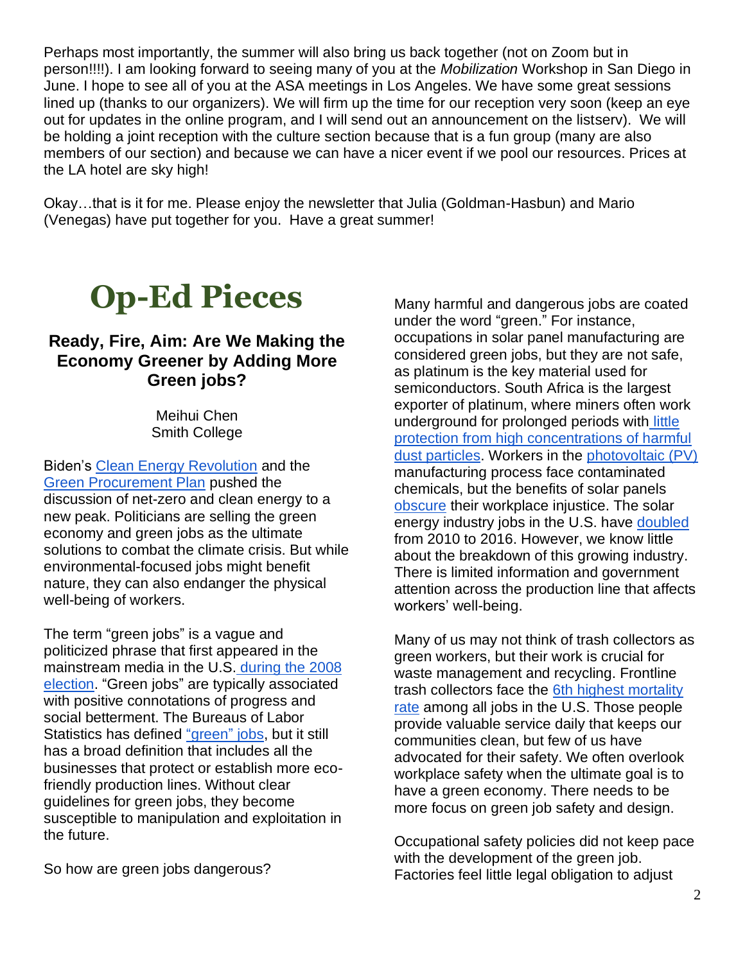Perhaps most importantly, the summer will also bring us back together (not on Zoom but in person!!!!). I am looking forward to seeing many of you at the *Mobilization* Workshop in San Diego in June. I hope to see all of you at the ASA meetings in Los Angeles. We have some great sessions lined up (thanks to our organizers). We will firm up the time for our reception very soon (keep an eye out for updates in the online program, and I will send out an announcement on the listserv). We will be holding a joint reception with the culture section because that is a fun group (many are also members of our section) and because we can have a nicer event if we pool our resources. Prices at the LA hotel are sky high!

Okay…that is it for me. Please enjoy the newsletter that Julia (Goldman-Hasbun) and Mario (Venegas) have put together for you. Have a great summer!

# **Op-Ed Pieces**

#### **Ready, Fire, Aim: Are We Making the Economy Greener by Adding More Green jobs?**

Meihui Chen Smith College

Biden's [Clean Energy Revolution](https://joebiden.com/climate-plan/) and the [Green Procurement Plan](https://www.whitehouse.gov/briefing-room/statements-releases/2021/12/08/fact-sheet-president-biden-signs-executive-order-catalyzing-americas-clean-energy-economy-through-federal-sustainability/) pushed the discussion of net-zero and clean energy to a new peak. Politicians are selling the green economy and green jobs as the ultimate solutions to combat the climate crisis. But while environmental-focused jobs might benefit nature, they can also endanger the physical well-being of workers.

The term "green jobs" is a vague and politicized phrase that first appeared in the mainstream media in the U.S. during the 2008 [election.](https://www.treehugger.com/history-evolution-and-future-of-green-jobs-5185004) "Green jobs" are typically associated with positive connotations of progress and social betterment. The Bureaus of Labor Statistics has defined ["green"](https://www.bls.gov/green/home.htm) jobs, but it still has a broad definition that includes all the businesses that protect or establish more ecofriendly production lines. Without clear guidelines for green jobs, they become susceptible to manipulation and exploitation in the future.

So how are green jobs dangerous?

Many harmful and dangerous jobs are coated under the word "green." For instance, occupations in solar panel manufacturing are considered green jobs, but they are not safe, as platinum is the key material used for semiconductors. South Africa is the largest exporter of platinum, where miners often work underground for prolonged periods with [little](https://www.ncbi.nlm.nih.gov/pmc/articles/PMC7014327/)  [protection from high concentrations of harmful](https://www.ncbi.nlm.nih.gov/pmc/articles/PMC7014327/)  [dust particles.](https://www.ncbi.nlm.nih.gov/pmc/articles/PMC7014327/) Workers in the [photovoltaic \(PV\)](https://www.energy.gov/eere/solar/solar-photovoltaic-technology-basics) manufacturing process face contaminated chemicals, but the benefits of solar panels [obscure](https://www.sciencedirect.com/science/article/pii/S0016718514000281) their workplace injustice. The solar energy industry jobs in the U.S. have [doubled](https://www.politifact.com/truth-o-meter/promises/obameter/promise/439/create-5-million-green-jobs/) from 2010 to 2016. However, we know little about the breakdown of this growing industry. There is limited information and government attention across the production line that affects workers' well-being.

Many of us may not think of trash collectors as green workers, but their work is crucial for waste management and recycling. Frontline trash collectors face the [6th highest mortality](https://www.bls.gov/news.release/pdf/cfoi.pdf)  [rate](https://www.bls.gov/news.release/pdf/cfoi.pdf) among all jobs in the U.S. Those people provide valuable service daily that keeps our communities clean, but few of us have advocated for their safety. We often overlook workplace safety when the ultimate goal is to have a green economy. There needs to be more focus on green job safety and design.

Occupational safety policies did not keep pace with the development of the green job. Factories feel little legal obligation to adjust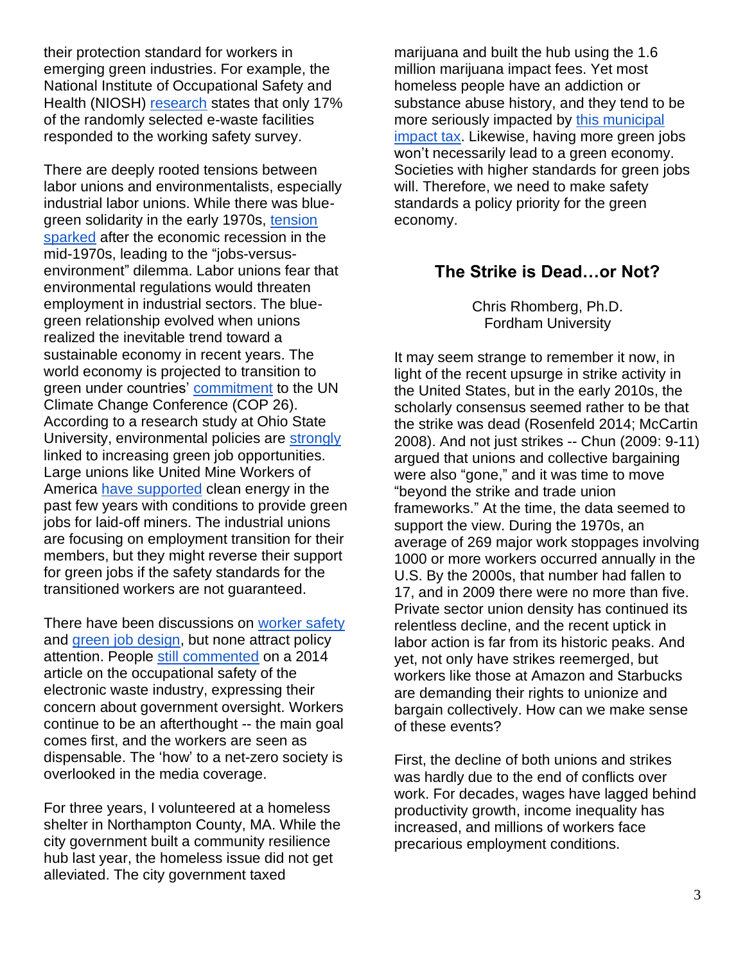their protection standard for workers in emerging green industries. For example, the National Institute of Occupational Safety and Health (NIOSH) [research](https://pubmed.ncbi.nlm.nih.gov/25738822/) states that only 17% of the randomly selected e-waste facilities responded to the working safety survey.

There are deeply rooted tensions between labor unions and environmentalists, especially industrial labor unions. While there was bluegreen solidarity in the early 1970s, [tension](https://www.cairn.info/revue-francaise-d-etudes-americaines-2011-3-page-59.htm)  [sparked](https://www.cairn.info/revue-francaise-d-etudes-americaines-2011-3-page-59.htm) after the economic recession in the mid-1970s, leading to the "jobs-versusenvironment" dilemma. Labor unions fear that environmental regulations would threaten employment in industrial sectors. The bluegreen relationship evolved when unions realized the inevitable trend toward a sustainable economy in recent years. The world economy is projected to transition to green under countries' [commitment](https://www.wri.org/insights/cop26-key-outcomes-un-climate-talks-glasgow) to the UN Climate Change Conference (COP 26). According to a research study at Ohio State University, environmental policies are [strongly](https://www.sciencedirect.com/science/article/pii/S0301421513000414) linked to increasing green job opportunities. Large unions like United Mine Workers of America [have supported](https://grist.org/energy/americas-largest-coal-miners-union-supports-clean-energy-with-conditions/) clean energy in the past few years with conditions to provide green jobs for laid-off miners. The industrial unions are focusing on employment transition for their members, but they might reverse their support for green jobs if the safety standards for the transitioned workers are not guaranteed.

There have been discussions on [worker safety](https://www.hazards.org/greenjobs/) and [green job design,](https://www.ft.com/content/111f9600-f440-47fb-882f-4a5e3c96fae2) but none attract policy attention. People [still commented](https://blogs.cdc.gov/niosh-science-blog/2014/09/30/escrap/) on a 2014 article on the occupational safety of the electronic waste industry, expressing their concern about government oversight. Workers continue to be an afterthought -- the main goal comes first, and the workers are seen as dispensable. The 'how' to a net-zero society is overlooked in the media coverage.

For three years, I volunteered at a homeless shelter in Northampton County, MA. While the city government built a community resilience hub last year, the homeless issue did not get alleviated. The city government taxed

marijuana and built the hub using the 1.6 million marijuana impact fees. Yet most homeless people have an addiction or substance abuse history, and they tend to be more seriously impacted by [this municipal](https://www.gazettenet.com/City-Council-votes-to-reallocate-marjuana-impact-fees-votes-for-drug-decriminilization-and-climate-emergnecy-39797864)  [impact tax.](https://www.gazettenet.com/City-Council-votes-to-reallocate-marjuana-impact-fees-votes-for-drug-decriminilization-and-climate-emergnecy-39797864) Likewise, having more green jobs won't necessarily lead to a green economy. Societies with higher standards for green jobs will. Therefore, we need to make safety standards a policy priority for the green economy.

### **The Strike is Dead…or Not?**

Chris Rhomberg, Ph.D. Fordham University

It may seem strange to remember it now, in light of the recent upsurge in strike activity in the United States, but in the early 2010s, the scholarly consensus seemed rather to be that the strike was dead (Rosenfeld 2014; McCartin 2008). And not just strikes -- Chun (2009: 9-11) argued that unions and collective bargaining were also "gone," and it was time to move "beyond the strike and trade union frameworks." At the time, the data seemed to support the view. During the 1970s, an average of 269 major work stoppages involving 1000 or more workers occurred annually in the U.S. By the 2000s, that number had fallen to 17, and in 2009 there were no more than five. Private sector union density has continued its relentless decline, and the recent uptick in labor action is far from its historic peaks. And yet, not only have strikes reemerged, but workers like those at Amazon and Starbucks are demanding their rights to unionize and bargain collectively. How can we make sense of these events?

First, the decline of both unions and strikes was hardly due to the end of conflicts over work. For decades, wages have lagged behind productivity growth, income inequality has increased, and millions of workers face precarious employment conditions.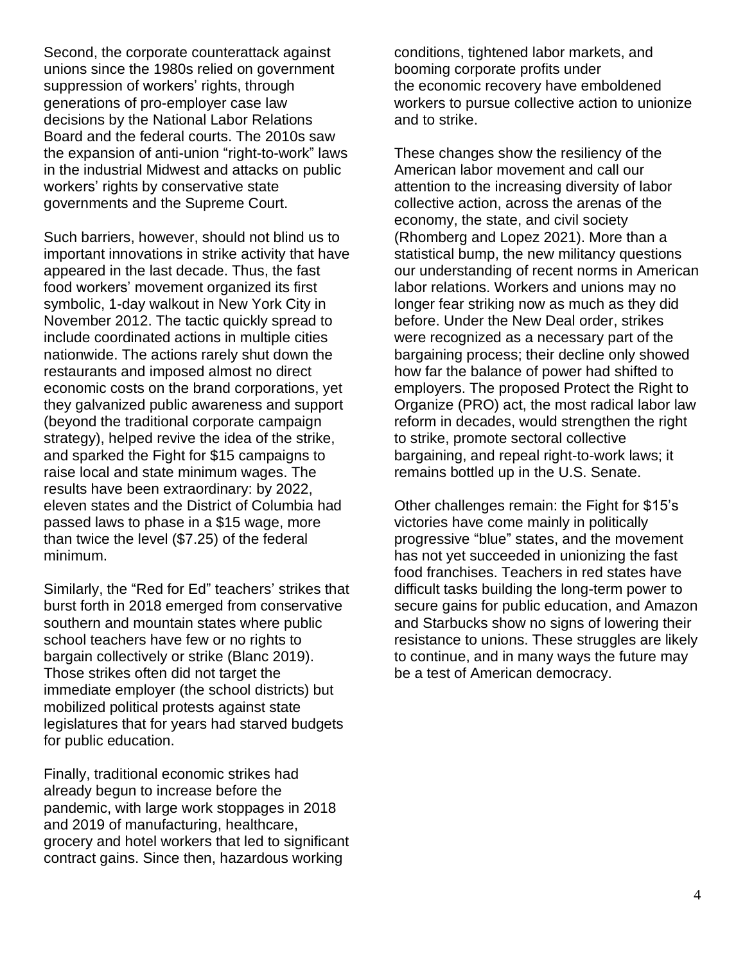Second, the corporate counterattack against unions since the 1980s relied on government suppression of workers' rights, through generations of pro-employer case law decisions by the National Labor Relations Board and the federal courts. The 2010s saw the expansion of anti-union "right-to-work" laws in the industrial Midwest and attacks on public workers' rights by conservative state governments and the Supreme Court.

Such barriers, however, should not blind us to important innovations in strike activity that have appeared in the last decade. Thus, the fast food workers' movement organized its first symbolic, 1-day walkout in New York City in November 2012. The tactic quickly spread to include coordinated actions in multiple cities nationwide. The actions rarely shut down the restaurants and imposed almost no direct economic costs on the brand corporations, yet they galvanized public awareness and support (beyond the traditional corporate campaign strategy), helped revive the idea of the strike, and sparked the Fight for \$15 campaigns to raise local and state minimum wages. The results have been extraordinary: by 2022, eleven states and the District of Columbia had passed laws to phase in a \$15 wage, more than twice the level (\$7.25) of the federal minimum.

Similarly, the "Red for Ed" teachers' strikes that burst forth in 2018 emerged from conservative southern and mountain states where public school teachers have few or no rights to bargain collectively or strike (Blanc 2019). Those strikes often did not target the immediate employer (the school districts) but mobilized political protests against state legislatures that for years had starved budgets for public education.

Finally, traditional economic strikes had already begun to increase before the pandemic, with large work stoppages in 2018 and 2019 of manufacturing, healthcare, grocery and hotel workers that led to significant contract gains. Since then, hazardous working

conditions, tightened labor markets, and booming corporate profits under the economic recovery have emboldened workers to pursue collective action to unionize and to strike.

These changes show the resiliency of the American labor movement and call our attention to the increasing diversity of labor collective action, across the arenas of the economy, the state, and civil society (Rhomberg and Lopez 2021). More than a statistical bump, the new militancy questions our understanding of recent norms in American labor relations. Workers and unions may no longer fear striking now as much as they did before. Under the New Deal order, strikes were recognized as a necessary part of the bargaining process; their decline only showed how far the balance of power had shifted to employers. The proposed Protect the Right to Organize (PRO) act, the most radical labor law reform in decades, would strengthen the right to strike, promote sectoral collective bargaining, and repeal right-to-work laws; it remains bottled up in the U.S. Senate.

Other challenges remain: the Fight for \$15's victories have come mainly in politically progressive "blue" states, and the movement has not yet succeeded in unionizing the fast food franchises. Teachers in red states have difficult tasks building the long-term power to secure gains for public education, and Amazon and Starbucks show no signs of lowering their resistance to unions. These struggles are likely to continue, and in many ways the future may be a test of American democracy.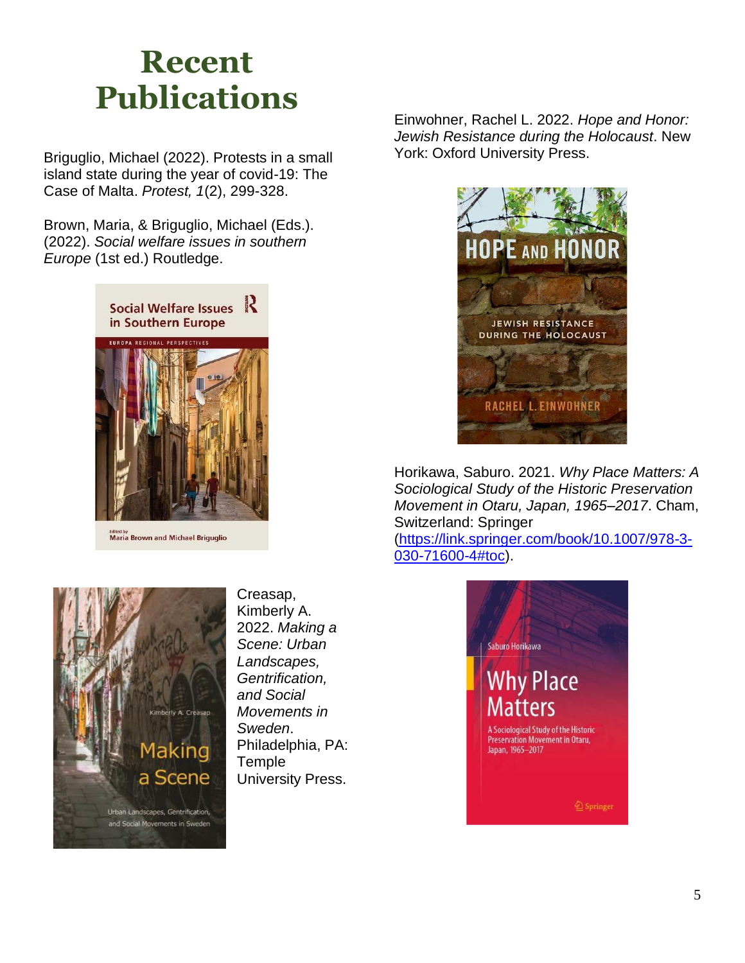# **Recent Publications**

Briguglio, Michael (2022). Protests in a small island state during the year of covid-19: The Case of Malta. *Protest, 1*(2), 299-328.

Brown, Maria, & Briguglio, Michael (Eds.). (2022). *Social welfare issues in southern Europe* (1st ed.) Routledge.



**Maria Brown and Michael Briguglio** 



Creasap, Kimberly A. 2022. *Making a Scene: Urban Landscapes, Gentrification, and Social Movements in Sweden*. Philadelphia, PA: **Temple** University Press.

Einwohner, Rachel L. 2022. *Hope and Honor: Jewish Resistance during the Holocaust*. New York: Oxford University Press.



Horikawa, Saburo. 2021. *Why Place Matters: A Sociological Study of the Historic Preservation Movement in Otaru, Japan, 1965–2017*. Cham, Switzerland: Springer

[\(https://link.springer.com/book/10.1007/978-3-](https://link.springer.com/book/10.1007/978-3-030-71600-4#toc) [030-71600-4#toc\)](https://link.springer.com/book/10.1007/978-3-030-71600-4#toc).

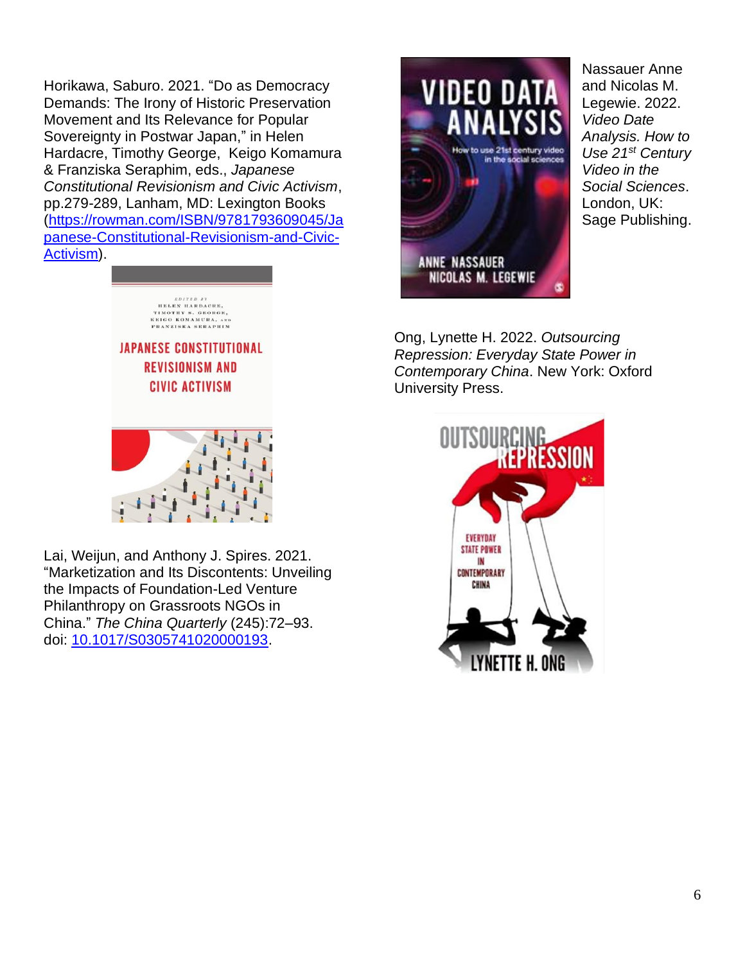Horikawa, Saburo. 2021. "Do as Democracy Demands: The Irony of Historic Preservation Movement and Its Relevance for Popular Sovereignty in Postwar Japan," in Helen Hardacre, Timothy George, Keigo Komamura & Franziska Seraphim, eds., *Japanese Constitutional Revisionism and Civic Activism*, pp.279-289, Lanham, MD: Lexington Books [\(https://rowman.com/ISBN/9781793609045/Ja](https://rowman.com/ISBN/9781793609045/Japanese-Constitutional-Revisionism-and-Civic-Activism) [panese-Constitutional-Revisionism-and-Civic-](https://rowman.com/ISBN/9781793609045/Japanese-Constitutional-Revisionism-and-Civic-Activism)[Activism\)](https://rowman.com/ISBN/9781793609045/Japanese-Constitutional-Revisionism-and-Civic-Activism).



Lai, Weijun, and Anthony J. Spires. 2021. "Marketization and Its Discontents: Unveiling the Impacts of Foundation-Led Venture Philanthropy on Grassroots NGOs in China." *The China Quarterly* (245):72–93. doi: [10.1017/S0305741020000193.](https://doi.org/10.1017/S0305741020000193)



Nassauer Anne and Nicolas M. Legewie. 2022. *Video Date Analysis. How to Use 21st Century Video in the Social Sciences*. London, UK: Sage Publishing.

Ong, Lynette H. 2022. *Outsourcing Repression: Everyday State Power in Contemporary China*. New York: Oxford University Press.

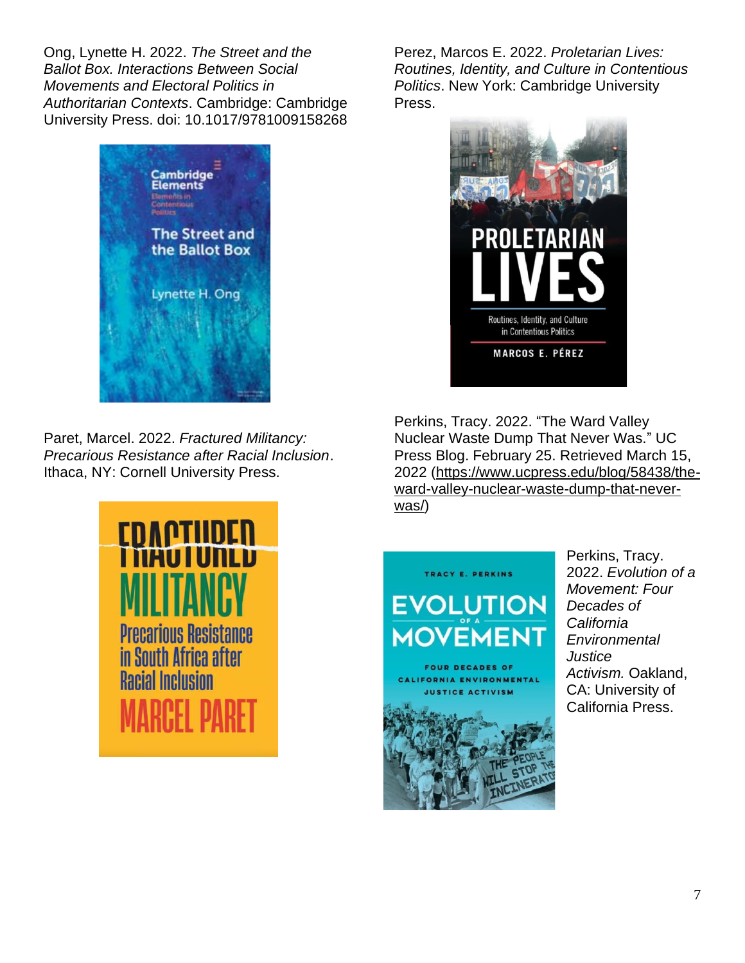Ong, Lynette H. 2022. *The Street and the Ballot Box. Interactions Between Social Movements and Electoral Politics in Authoritarian Contexts*. Cambridge: Cambridge University Press. doi: 10.1017/9781009158268



Paret, Marcel. 2022. *Fractured Militancy: Precarious Resistance after Racial Inclusion*. Ithaca, NY: Cornell University Press.



Perez, Marcos E. 2022. *Proletarian Lives: Routines, Identity, and Culture in Contentious Politics*. New York: Cambridge University Press.



Perkins, Tracy. 2022. "The Ward Valley Nuclear Waste Dump That Never Was." UC Press Blog. February 25. Retrieved March 15, 2022 [\(https://www.ucpress.edu/blog/58438/the](https://www.ucpress.edu/blog/58438/the-ward-valley-nuclear-waste-dump-that-never-was/)[ward-valley-nuclear-waste-dump-that-never](https://www.ucpress.edu/blog/58438/the-ward-valley-nuclear-waste-dump-that-never-was/)[was/\)](https://www.ucpress.edu/blog/58438/the-ward-valley-nuclear-waste-dump-that-never-was/)



Perkins, Tracy. 2022. *Evolution of a Movement: Four Decades of California Environmental Justice Activism.* Oakland, CA: University of California Press.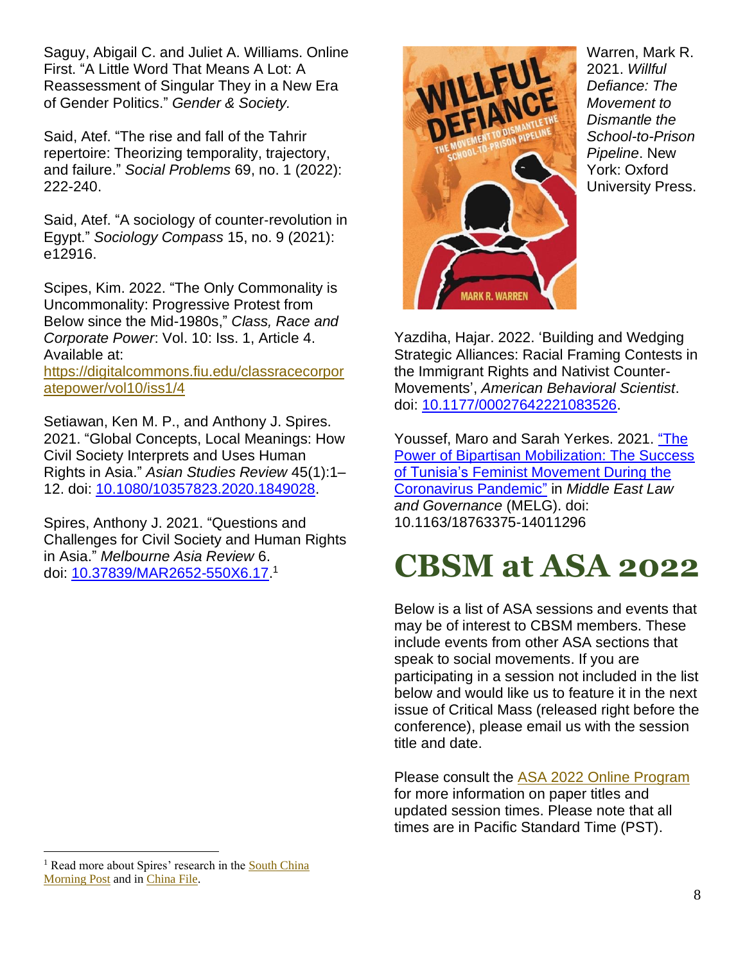Saguy, Abigail C. and Juliet A. Williams. Online First. "A Little Word That Means A Lot: A Reassessment of Singular They in a New Era of Gender Politics." *Gender & Society.*

Said, Atef. "The rise and fall of the Tahrir repertoire: Theorizing temporality, trajectory, and failure." *Social Problems* 69, no. 1 (2022): 222-240.

Said, Atef. "A sociology of counter‐revolution in Egypt." *Sociology Compass* 15, no. 9 (2021): e12916.

Scipes, Kim. 2022. "The Only Commonality is Uncommonality: Progressive Protest from Below since the Mid-1980s," *Class, Race and Corporate Power*: Vol. 10: Iss. 1, Article 4. Available at:

[https://digitalcommons.fiu.edu/classracecorpor](https://digitalcommons.fiu.edu/classracecorporatepower/vol10/iss1/4) [atepower/vol10/iss1/4](https://digitalcommons.fiu.edu/classracecorporatepower/vol10/iss1/4)

Setiawan, Ken M. P., and Anthony J. Spires. 2021. "Global Concepts, Local Meanings: How Civil Society Interprets and Uses Human Rights in Asia." *Asian Studies Review* 45(1):1– 12. doi: [10.1080/10357823.2020.1849028.](https://doi.org/10.1080/10357823.2020.1849028)

Spires, Anthony J. 2021. "Questions and Challenges for Civil Society and Human Rights in Asia." *Melbourne Asia Review* 6. doi: <u>10.37839/MAR2652-550X6.17</u>.<sup>1</sup>



Warren, Mark R. 2021. *Willful Defiance: The Movement to Dismantle the School-to-Prison Pipeline*. New York: Oxford University Press.

Yazdiha, Hajar. 2022. 'Building and Wedging Strategic Alliances: Racial Framing Contests in the Immigrant Rights and Nativist Counter-Movements', *American Behavioral Scientist*. doi: [10.1177/00027642221083526.](https://doi.org/10.1177/00027642221083526)

Youssef, Maro and Sarah Yerkes. 2021. "The Power of Bipartisan Mobilization: The Success of Tunisia's Feminist Movement During the Coronavirus Pandemic" in *Middle East Law and Governance* (MELG). doi: 10.1163/18763375-14011296

# **CBSM at ASA 2022**

Below is a list of ASA sessions and events that may be of interest to CBSM members. These include events from other ASA sections that speak to social movements. If you are participating in a session not included in the list below and would like us to feature it in the next issue of Critical Mass (released right before the conference), please email us with the session title and date.

Please consult the [ASA 2022 Online Program](https://convention2.allacademic.com/one/asa/asa22/) for more information on paper titles and updated session times. Please note that all times are in Pacific Standard Time (PST).

<sup>&</sup>lt;sup>1</sup> Read more about Spires' research in the South China [Morning Post](https://www.scmp.com/news/hong-kong/politics/article/3154196/amnesty-joins-groups-quitting-hong-kong-ngos-worry-their) and i[n China File.](https://www.chinafile.com/conversation/what-future-international-ngos-china)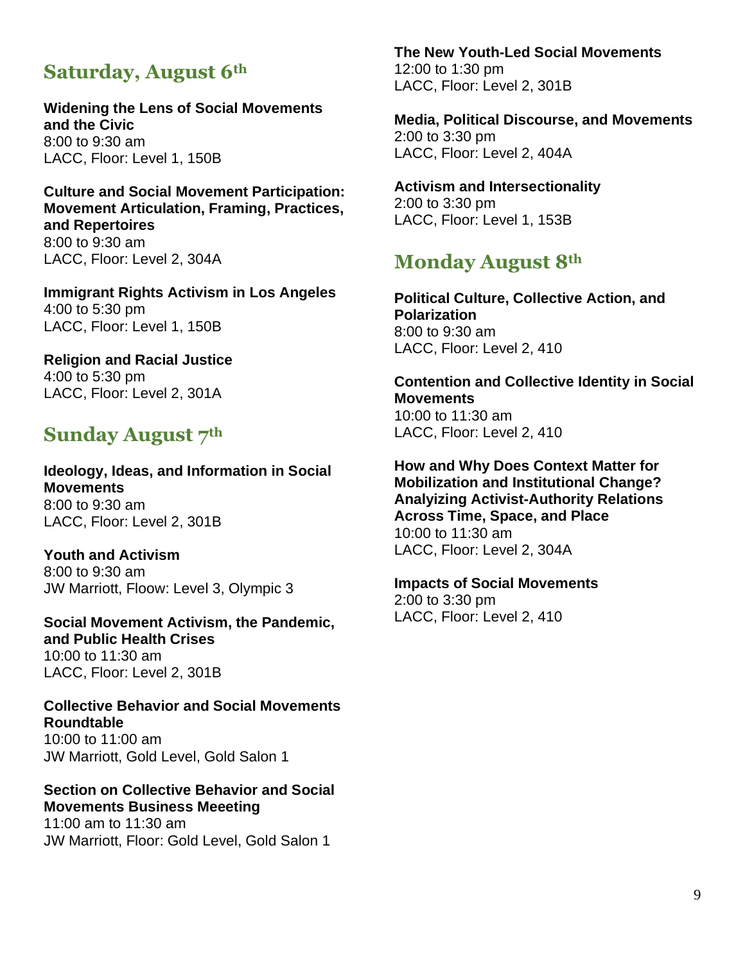### **Saturday, August 6th**

**Widening the Lens of Social Movements and the Civic** 8:00 to 9:30 am LACC, Floor: Level 1, 150B

**Culture and Social Movement Participation: Movement Articulation, Framing, Practices, and Repertoires** 8:00 to 9:30 am LACC, Floor: Level 2, 304A

**Immigrant Rights Activism in Los Angeles** 4:00 to 5:30 pm LACC, Floor: Level 1, 150B

**Religion and Racial Justice** 4:00 to 5:30 pm LACC, Floor: Level 2, 301A

### **Sunday August 7th**

**Ideology, Ideas, and Information in Social Movements** 8:00 to 9:30 am LACC, Floor: Level 2, 301B

**Youth and Activism** 8:00 to 9:30 am JW Marriott, Floow: Level 3, Olympic 3

**Social Movement Activism, the Pandemic, and Public Health Crises** 10:00 to 11:30 am LACC, Floor: Level 2, 301B

**Collective Behavior and Social Movements Roundtable** 10:00 to 11:00 am JW Marriott, Gold Level, Gold Salon 1

#### **Section on Collective Behavior and Social Movements Business Meeeting**

11:00 am to 11:30 am JW Marriott, Floor: Gold Level, Gold Salon 1 **The New Youth-Led Social Movements**

12:00 to 1:30 pm LACC, Floor: Level 2, 301B

**Media, Political Discourse, and Movements** 2:00 to 3:30 pm LACC, Floor: Level 2, 404A

**Activism and Intersectionality** 2:00 to 3:30 pm LACC, Floor: Level 1, 153B

### **Monday August 8th**

**Political Culture, Collective Action, and Polarization** 8:00 to 9:30 am LACC, Floor: Level 2, 410

**Contention and Collective Identity in Social Movements** 10:00 to 11:30 am

LACC, Floor: Level 2, 410

**How and Why Does Context Matter for Mobilization and Institutional Change? Analyizing Activist-Authority Relations Across Time, Space, and Place** 10:00 to 11:30 am LACC, Floor: Level 2, 304A

**Impacts of Social Movements** 2:00 to 3:30 pm LACC, Floor: Level 2, 410